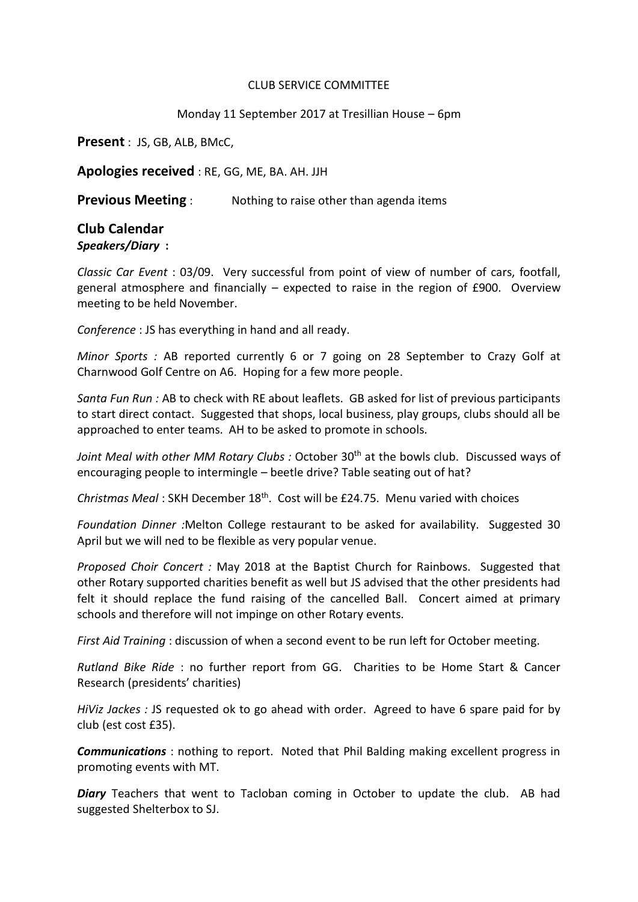## CLUB SERVICE COMMITTEE

## Monday 11 September 2017 at Tresillian House – 6pm

**Present** : JS, GB, ALB, BMcC,

**Apologies received** : RE, GG, ME, BA. AH. JJH

**Previous Meeting** : Nothing to raise other than agenda items

## **Club Calendar** *Speakers/Diary* **:**

*Classic Car Event* : 03/09. Very successful from point of view of number of cars, footfall, general atmosphere and financially – expected to raise in the region of £900. Overview meeting to be held November.

*Conference* : JS has everything in hand and all ready.

*Minor Sports :* AB reported currently 6 or 7 going on 28 September to Crazy Golf at Charnwood Golf Centre on A6. Hoping for a few more people.

*Santa Fun Run :* AB to check with RE about leaflets. GB asked for list of previous participants to start direct contact. Suggested that shops, local business, play groups, clubs should all be approached to enter teams. AH to be asked to promote in schools.

Joint Meal with other MM Rotary Clubs: October 30<sup>th</sup> at the bowls club. Discussed ways of encouraging people to intermingle – beetle drive? Table seating out of hat?

*Christmas Meal* : SKH December 18th. Cost will be £24.75. Menu varied with choices

*Foundation Dinner :*Melton College restaurant to be asked for availability. Suggested 30 April but we will ned to be flexible as very popular venue.

*Proposed Choir Concert :* May 2018 at the Baptist Church for Rainbows. Suggested that other Rotary supported charities benefit as well but JS advised that the other presidents had felt it should replace the fund raising of the cancelled Ball. Concert aimed at primary schools and therefore will not impinge on other Rotary events.

*First Aid Training* : discussion of when a second event to be run left for October meeting.

*Rutland Bike Ride* : no further report from GG. Charities to be Home Start & Cancer Research (presidents' charities)

*HiViz Jackes :* JS requested ok to go ahead with order. Agreed to have 6 spare paid for by club (est cost £35).

*Communications* : nothing to report. Noted that Phil Balding making excellent progress in promoting events with MT.

*Diary* Teachers that went to Tacloban coming in October to update the club. AB had suggested Shelterbox to SJ.